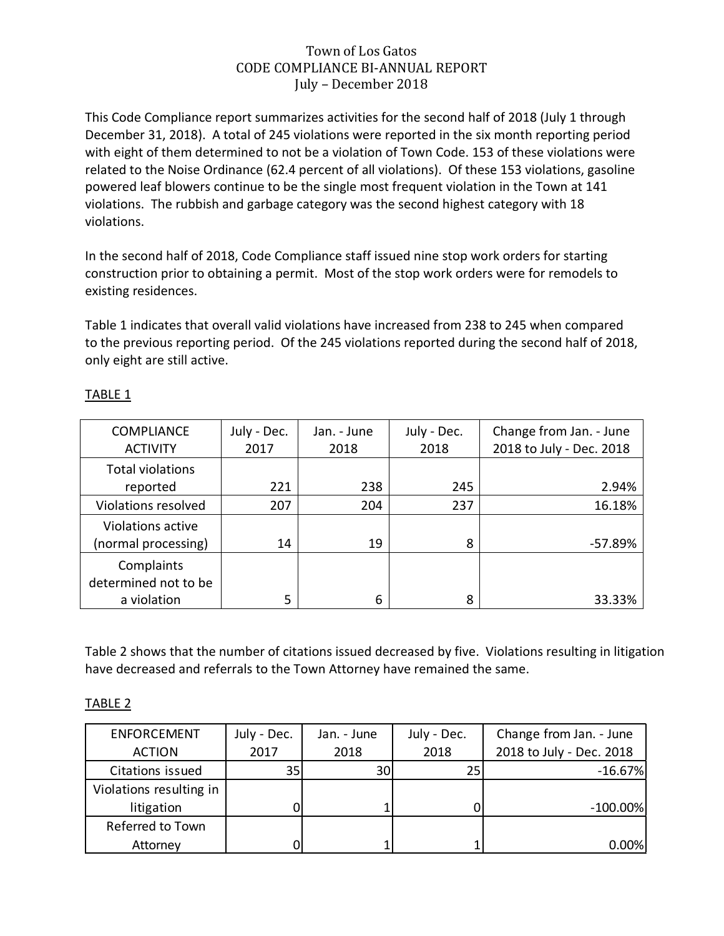## Town of Los Gatos CODE COMPLIANCE BI-ANNUAL REPORT July – December 2018

This Code Compliance report summarizes activities for the second half of 2018 (July 1 through December 31, 2018). A total of 245 violations were reported in the six month reporting period with eight of them determined to not be a violation of Town Code. 153 of these violations were related to the Noise Ordinance (62.4 percent of all violations). Of these 153 violations, gasoline powered leaf blowers continue to be the single most frequent violation in the Town at 141 violations. The rubbish and garbage category was the second highest category with 18 violations.

In the second half of 2018, Code Compliance staff issued nine stop work orders for starting construction prior to obtaining a permit. Most of the stop work orders were for remodels to existing residences.

Table 1 indicates that overall valid violations have increased from 238 to 245 when compared to the previous reporting period. Of the 245 violations reported during the second half of 2018, only eight are still active.

| <b>COMPLIANCE</b><br><b>ACTIVITY</b>              | July - Dec.<br>2017 | Jan. - June<br>2018 | July - Dec.<br>2018 | Change from Jan. - June<br>2018 to July - Dec. 2018 |
|---------------------------------------------------|---------------------|---------------------|---------------------|-----------------------------------------------------|
| <b>Total violations</b><br>reported               | 221                 | 238                 | 245                 | 2.94%                                               |
| Violations resolved                               | 207                 | 204                 | 237                 | 16.18%                                              |
| Violations active<br>(normal processing)          | 14                  | 19                  | 8                   | -57.89%                                             |
| Complaints<br>determined not to be<br>a violation | 5                   | 6                   | 8                   | 33.33%                                              |

## TABLE 1

Table 2 shows that the number of citations issued decreased by five. Violations resulting in litigation have decreased and referrals to the Town Attorney have remained the same.

## TABLE 2

| <b>ENFORCEMENT</b>      | July - Dec. | Jan. - June     | July - Dec. | Change from Jan. - June  |
|-------------------------|-------------|-----------------|-------------|--------------------------|
| <b>ACTION</b>           | 2017        | 2018            | 2018        | 2018 to July - Dec. 2018 |
| Citations issued        | 35          | 30 <sup>1</sup> | 25          | $-16.67%$                |
| Violations resulting in |             |                 |             |                          |
| litigation              |             |                 |             | $-100.00\%$              |
| Referred to Town        |             |                 |             |                          |
| Attorney                |             |                 |             | 0.00%                    |